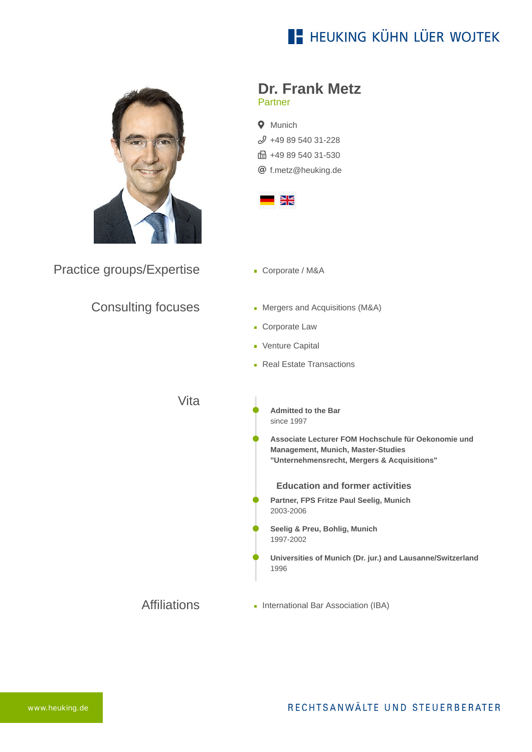# **E- HEUKING KÜHN LÜER WOJTEK**



Practice groups/Expertise

## Consulting focuses

### **Dr. Frank Metz** Partner





- Corporate / M&A
- Mergers and Acquisitions (M&A)
- **Corporate Law**
- **Venture Capital**
- **Real Estate Transactions**

## Vita

- **Admitted to the Bar** since 1997
- **Associate Lecturer FOM Hochschule für Oekonomie und Management, Munich, Master-Studies "Unternehmensrecht, Mergers & Acquisitions"**

#### **Education and former activities**

- **Partner, FPS Fritze Paul Seelig, Munich** 2003-2006
- **Seelig & Preu, Bohlig, Munich** 1997-2002
- **Universities of Munich (Dr. jur.) and Lausanne/Switzerland** 1996
- Affiliations **International Bar Association (IBA)**